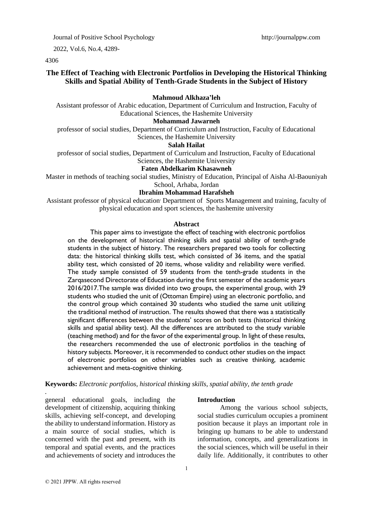Journal of Positive School Psychology http://journalppw.com

2022, Vol.6, No.4, 4289-

4306

# **The Effect of Teaching with Electronic Portfolios in Developing the Historical Thinking Skills and Spatial Ability of Tenth-Grade Students in the Subject of History**

#### **Mahmoud Alkhaza 'leh**

Assistant professor of Arabic education, Department of Curriculum and Instruction, Faculty of Educational Sciences, the Hashemite University

#### **Mohammad Jawarneh**

professor of social studies, Department of Curriculum and Instruction, Faculty of Educational Sciences, the Hashemite University

#### **Salah Hailat**

professor of social studies, Department of Curriculum and Instruction, Faculty of Educational Sciences, the Hashemite University

#### **Faten Abdelkarim Khasawneh**

Master in methods of teaching social studies, Ministry of Education, Principal of Aisha Al-Baouniyah School, Arhaba, Jordan

**Ibrahim Mohammad Harafsheh**

# Assistant professor of physical education**.** Department of Sports Management and training, faculty of physical education and sport sciences, the hashemite university

#### **Abstract**

This paper aims to investigate the effect of teaching with electronic portfolios on the development of historical thinking skills and spatial ability of tenth-grade students in the subject of history. The researchers prepared two tools for collecting data: the historical thinking skills test, which consisted of 36 items, and the spatial ability test, which consisted of 20 items, whose validity and reliability were verified. The study sample consisted of 59 students from the tenth-grade students in the Zarqasecond Directorate of Education during the first semester of the academic years 2016/2017.The sample was divided into two groups, the experimental group, with 29 students who studied the unit of (Ottoman Empire) using an electronic portfolio, and the control group which contained 30 students who studied the same unit utilizing the traditional method of instruction. The results showed that there was a statistically significant differences between the students' scores on both tests (historical thinking skills and spatial ability test). All the differences are attributed to the study variable (teaching method) and for the favor of the experimental group. In light of these results, the researchers recommended the use of electronic portfolios in the teaching of history subjects. Moreover, it is recommended to conduct other studies on the impact of electronic portfolios on other variables such as creative thinking, academic achievement and meta-cognitive thinking.

#### **Keywords:** *Electronic portfolios, historical thinking skills, spatial ability, the tenth grade*

general educational goals, including the development of citizenship, acquiring thinking skills, achieving self-concept, and developing the ability to understand information. History as a main source of social studies, which is concerned with the past and present, with its temporal and spatial events, and the practices and achievements of society and introduces the

#### **Introduction**

Among the various school subjects, social studies curriculum occupies a prominent position because it plays an important role in bringing up humans to be able to understand information, concepts, and generalizations in the social sciences, which will be useful in their daily life. Additionally, it contributes to other

1

*.*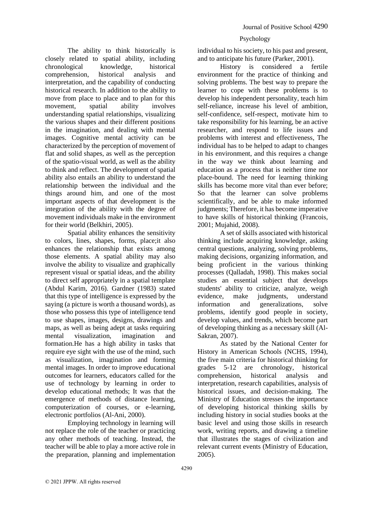individual to his society, to his past and present, and to anticipate his future (Parker, 2001).

History is considered a fertile environment for the practice of thinking and solving problems. The best way to prepare the learner to cope with these problems is to develop his independent personality, teach him self-reliance, increase his level of ambition, self-confidence, self-respect, motivate him to take responsibility for his learning, be an active researcher, and respond to life issues and problems with interest and effectiveness, The individual has to be helped to adapt to changes in his environment, and this requires a change in the way we think about learning and education as a process that is neither time nor place-bound. The need for learning thinking skills has become more vital than ever before; So that the learner can solve problems scientifically, and be able to make informed judgments; Therefore, it has become imperative to have skills of historical thinking (Francois, 2001; Mujahid, 2008).

A set of skills associated with historical thinking include acquiring knowledge, asking central questions, analyzing, solving problems, making decisions, organizing information, and being proficient in the various thinking processes (Qalladah, 1998). This makes social studies an essential subject that develops students' ability to criticize, analyze, weigh evidence, make judgments, understand information and generalizations, solve problems, identify good people in society, develop values, and trends, which become part of developing thinking as a necessary skill (Al-Sakran, 2007).

As stated by the National Center for History in American Schools (NCHS, 1994), the five main criteria for historical thinking for grades 5-12 are chronology, historical comprehension, historical analysis and interpretation, research capabilities, analysis of historical issues, and decision-making. The Ministry of Education stresses the importance of developing historical thinking skills by including history in social studies books at the basic level and using those skills in research work, writing reports, and drawing a timeline that illustrates the stages of civilization and relevant current events (Ministry of Education, 2005).

The ability to think historically is closely related to spatial ability, including chronological knowledge, historical comprehension, historical analysis and interpretation, and the capability of conducting historical research. In addition to the ability to move from place to place and to plan for this movement, spatial ability involves understanding spatial relationships, visualizing the various shapes and their different positions in the imagination, and dealing with mental images. Cognitive mental activity can be characterized by the perception of movement of flat and solid shapes, as well as the perception of the spatio-visual world, as well as the ability to think and reflect. The development of spatial ability also entails an ability to understand the relationship between the individual and the things around him, and one of the most important aspects of that development is the integration of the ability with the degree of movement individuals make in the environment for their world (Belkhiri, 2005).

Spatial ability enhances the sensitivity to colors, lines, shapes, forms, place;it also enhances the relationship that exists among those elements. A spatial ability may also involve the ability to visualize and graphically represent visual or spatial ideas, and the ability to direct self appropriately in a spatial template (Abdul Karim, 2016). Gardner (1983) stated that this type of intelligence is expressed by the saying (a picture is worth a thousand words), as those who possess this type of intelligence tend to use shapes, images, designs, drawings and maps, as well as being adept at tasks requiring mental visualization, imagination and formation.He has a high ability in tasks that require eye sight with the use of the mind, such as visualization, imagination and forming mental images. In order to improve educational outcomes for learners, educators called for the use of technology by learning in order to develop educational methods; It was that the emergence of methods of distance learning, computerization of courses, or e-learning, electronic portfolios (Al-Ani, 2000).

Employing technology in learning will not replace the role of the teacher or practicing any other methods of teaching. Instead, the teacher will be able to play a more active role in the preparation, planning and implementation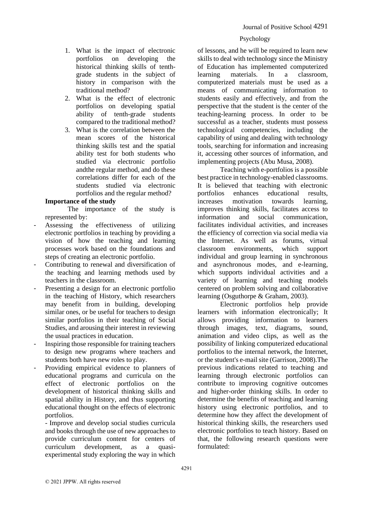- 1. What is the impact of electronic portfolios on developing the historical thinking skills of tenthgrade students in the subject of history in comparison with the traditional method?
- 2. What is the effect of electronic portfolios on developing spatial ability of tenth-grade students compared to the traditional method?
- 3. What is the correlation between the mean scores of the historical thinking skills test and the spatial ability test for both students who studied via electronic portfolio andthe regular method, and do these correlations differ for each of the students studied via electronic portfolios and the regular method?

# **Importance of the study**

The importance of the study is represented by:

- Assessing the effectiveness of utilizing electronic portfolios in teaching by providing a vision of how the teaching and learning processes work based on the foundations and steps of creating an electronic portfolio.
- Contributing to renewal and diversification of the teaching and learning methods used by teachers in the classroom.
- Presenting a design for an electronic portfolio in the teaching of History, which researchers may benefit from in building, developing similar ones, or be useful for teachers to design similar portfolios in their teaching of Social Studies, and arousing their interest in reviewing the usual practices in education.
- Inspiring those responsible for training teachers to design new programs where teachers and students both have new roles to play.
- Providing empirical evidence to planners of educational programs and curricula on the effect of electronic portfolios on the development of historical thinking skills and spatial ability in History, and thus supporting educational thought on the effects of electronic portfolios.

- Improve and develop social studies curricula and books through the use of new approaches to provide curriculum content for centers of curriculum development, as a quasiexperimental study exploring the way in which

of lessons, and he will be required to learn new skills to deal with technology since the Ministry of Education has implemented computerized learning materials. In a classroom, computerized materials must be used as a means of communicating information to students easily and effectively, and from the perspective that the student is the center of the teaching-learning process. In order to be successful as a teacher, students must possess technological competencies, including the capability of using and dealing with technology tools, searching for information and increasing it, accessing other sources of information, and implementing projects (Abu Musa, 2008).

Teaching with e-portfolios is a possible best practice in technology-enabled classrooms. It is believed that teaching with electronic portfolios enhances educational results, increases motivation towards learning, improves thinking skills, facilitates access to information and social communication, facilitates individual activities, and increases the efficiency of correction via social media via the Internet. As well as forums, virtual classroom environments, which support individual and group learning in synchronous and asynchronous modes, and e-learning, which supports individual activities and a variety of learning and teaching models centered on problem solving and collaborative learning (Osguthorpe & Graham, 2003).

Electronic portfolios help provide learners with information electronically; It allows providing information to learners through images, text, diagrams, sound, animation and video clips, as well as the possibility of linking computerized educational portfolios to the internal network, the Internet, or the student's e-mail site (Garrison, 2008).The previous indications related to teaching and learning through electronic portfolios can contribute to improving cognitive outcomes and higher-order thinking skills. In order to determine the benefits of teaching and learning history using electronic portfolios, and to determine how they affect the development of historical thinking skills, the researchers used electronic portfolios to teach history. Based on that, the following research questions were formulated: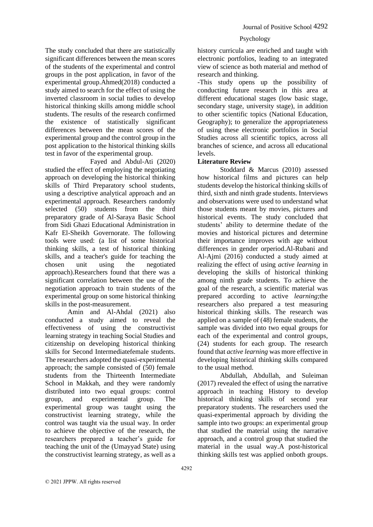history curricula are enriched and taught with electronic portfolios, leading to an integrated view of science as both material and method of research and thinking.

-This study opens up the possibility of conducting future research in this area at different educational stages (low basic stage, secondary stage, university stage), in addition to other scientific topics (National Education, Geography); to generalize the appropriateness of using these electronic portfolios in Social Studies across all scientific topics, across all branches of science, and across all educational levels.

## **Literature Review**

Stoddard & Marcus (2010) assessed how historical films and pictures can help students develop the historical thinking skills of third, sixth and ninth grade students. Interviews and observations were used to understand what those students meant by movies, pictures and historical events. The study concluded that students' ability to determine thedate of the movies and historical pictures and determine their importance improves with age without differences in gender orperiod.Al-Rubani and Al-Ajmi (2016) conducted a study aimed at realizing the effect of using *active learning* in developing the skills of historical thinking among ninth grade students. To achieve the goal of the research, a scientific material was prepared according to active *learning*;the researchers also prepared a test measuring historical thinking skills. The research was applied on a sample of (48) female students, the sample was divided into two equal groups for each of the experimental and control groups, (24) students for each group. The research found that *active learning* was more effective in developing historical thinking skills compared to the usual method.

Abdullah, Abdullah, and Suleiman (2017) revealed the effect of using the narrative approach in teaching History to develop historical thinking skills of second year preparatory students. The researchers used the quasi-experimental approach by dividing the sample into two groups: an experimental group that studied the material using the narrative approach, and a control group that studied the material in the usual way.A post-historical thinking skills test was applied onboth groups.

The study concluded that there are statistically significant differences between the mean scores of the students of the experimental and control groups in the post application, in favor of the experimental group.Ahmed(2018) conducted a study aimed to search for the effect of using the inverted classroom in social tudies to develop historical thinking skills among middle school students. The results of the research confirmed the existence of statistically significant differences between the mean scores of the experimental group and the control group in the post application to the historical thinking skills test in favor of the experimental group.

Fayed and Abdul-Ati (2020) studied the effect of employing the negotiating approach on developing the historical thinking skills of Third Preparatory school students, using a descriptive analytical approach and an experimental approach. Researchers randomly selected (50) students from the third preparatory grade of Al-Saraya Basic School from Sidi Ghazi Educational Administration in Kafr El-Sheikh Governorate. The following tools were used: (a list of some historical thinking skills, a test of historical thinking skills, and a teacher's guide for teaching the chosen unit using the negotiated approach).Researchers found that there was a significant correlation between the use of the negotiation approach to train students of the experimental group on some historical thinking skills in the post-measurement.

Amin and Al-Ahdal (2021) also conducted a study aimed to reveal the effectiveness of using the constructivist learning strategy in teaching Social Studies and citizenship on developing historical thinking skills for Second Intermediatefemale students. The researchers adopted the quasi-experimental approach; the sample consisted of (50) female students from the Thirteenth Intermediate School in Makkah, and they were randomly distributed into two equal groups: control group, and experimental group. The experimental group was taught using the constructivist learning strategy, while the control was taught via the usual way. In order to achieve the objective of the research, the researchers prepared a teacher's guide for teaching the unit of the (Umayyad State) using the constructivist learning strategy, as well as a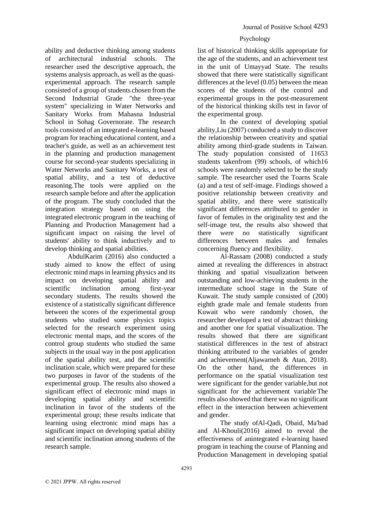ability and deductive thinking among students of architectural industrial schools. The researcher used the descriptive approach, the systems analysis approach, as well as the quasiexperimental approach. The research sample consisted of a group of students chosen from the Second Industrial Grade "the three-year system" specializing in Water Networks and Sanitary Works from Mahasna Industrial School in Sohag Governorate. The research tools consisted of an integrated e-learning based program for teaching educational content, and a teacher's guide, as well as an achievement test in the planning and production management course for second-year students specializing in Water Networks and Sanitary Works, a test of spatial ability, and a test of deductive reasoning.The tools were applied on the research sample before and after the application of the program. The study concluded that the integration strategy based on using the integrated electronic program in the teaching of Planning and Production Management had a significant impact on raising the level of students' ability to think inductively and to develop thinking and spatial abilities.

AbdulKarim (2016) also conducted a study aimed to know the effect of using electronic mind maps in learning physics and its impact on developing spatial ability and scientific inclination among first-year secondary students. The results showed the existence of a statistically significant difference between the scores of the experimental group students who studied some physics topics selected for the research experiment using electronic mental maps, and the scores of the control group students who studied the same subjects in the usual way in the post application of the spatial ability test, and the scientific inclination scale, which were prepared for these two purposes in favor of the students of the experimental group. The results also showed a significant effect of electronic mind maps in developing spatial ability and scientific inclination in favor of the students of the experimental group; these results indicate that learning using electronic mind maps has a significant impact on developing spatial ability and scientific inclination among students of the research sample.

# Psychology

list of historical thinking skills appropriate for the age of the students, and an achievement test in the unit of Umayyad State. The results showed that there were statistically significant differences at the level (0.05) between the mean scores of the students of the control and experimental groups in the post-measurement of the historical thinking skills test in favor of the experimental group.

In the context of developing spatial ability,Liu (2007) conducted a study to discover the relationship between creativity and spatial ability among third-grade students in Taiwan. The study population consisted of 11653 students takenfrom (99) schools, of which16 schools were randomly selected to be the study sample. The researcher used the Toarns Scale (a) and a test of self-image. Findings showed a positive relationship between creativity and spatial ability, and there were statistically significant differences attributed to gender in favor of females in the originality test and the self-image test, the results also showed that there were no statistically significant differences between males and females concerning fluency and flexibility.

Al-Rassam (2008) conducted a study aimed at revealing the differences in abstract thinking and spatial visualization between outstanding and low-achieving students in the intermediate school stage in the State of Kuwait. The study sample consisted of (200) eighth grade male and female students from Kuwait who were randomly chosen, the researcher developed a test of abstract thinking and another one for spatial visualization. The results showed that there are significant statistical differences in the test of abstract thinking attributed to the variables of gender and achievement(Aljawarneh & Atan, 2018). On the other hand, the differences in performance on the spatial visualization test were significant for the gender variable,but not significant for the achievement variable<sup>The</sup> results also showed that there was no significant effect in the interaction between achievement and gender.

The study ofAl-Qadi, Obaid, Ma'bad and Al-Khouli(2016) aimed to reveal the effectiveness of anintegrated e-learning based program in teaching the course of Planning and Production Management in developing spatial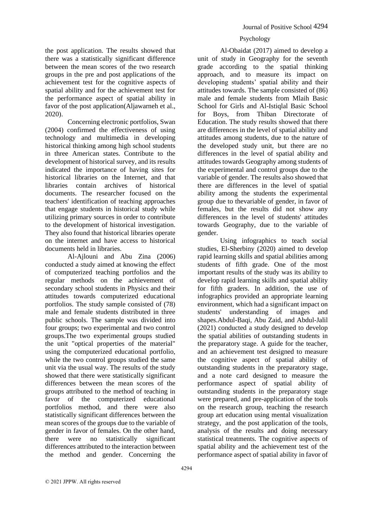the post application. The results showed that there was a statistically significant difference between the mean scores of the two research groups in the pre and post applications of the achievement test for the cognitive aspects of spatial ability and for the achievement test for the performance aspect of spatial ability in favor of the post application(Aljawarneh et al., 2020).

Concerning electronic portfolios, Swan (2004) confirmed the effectiveness of using technology and multimedia in developing historical thinking among high school students in three American states. Contribute to the development of historical survey, and its results indicated the importance of having sites for historical libraries on the Internet, and that libraries contain archives of historical documents. The researcher focused on the teachers' identification of teaching approaches that engage students in historical study while utilizing primary sources in order to contribute to the development of historical investigation. They also found that historical libraries operate on the internet and have access to historical documents held in libraries.

Al-Ajlouni and Abu Zina (2006) conducted a study aimed at knowing the effect of computerized teaching portfolios and the regular methods on the achievement of secondary school students in Physics and their attitudes towards computerized educational portfolios. The study sample consisted of (78) male and female students distributed in three public schools. The sample was divided into four groups; two experimental and two control groups.The two experimental groups studied the unit "optical properties of the material" using the computerized educational portfolio, while the two control groups studied the same unit via the usual way. The results of the study showed that there were statistically significant differences between the mean scores of the groups attributed to the method of teaching in favor of the computerized educational portfolios method, and there were also statistically significant differences between the mean scores of the groups due to the variable of gender in favor of females. On the other hand, there were no statistically significant differences attributed to the interaction between the method and gender. Concerning the

#### Psychology

Al-Obaidat (2017) aimed to develop a unit of study in Geography for the seventh grade according to the spatial thinking approach, and to measure its impact on developing students' spatial ability and their attitudes towards. The sample consisted of (86) male and female students from Mlaih Basic School for Girls and Al-Istiqlal Basic School for Boys, from Thiban Directorate of Education. The study results showed that there are differences in the level of spatial ability and attitudes among students, due to the nature of the developed study unit, but there are no differences in the level of spatial ability and attitudes towards Geography among students of the experimental and control groups due to the variable of gender. The results also showed that there are differences in the level of spatial ability among the students the experimental group due to thevariable of gender, in favor of females, but the results did not show any differences in the level of students' attitudes towards Geography, due to the variable of gender.

Using infographics to teach social studies, El-Sherbiny (2020) aimed to develop rapid learning skills and spatial abilities among students of fifth grade. One of the most important results of the study was its ability to develop rapid learning skills and spatial ability for fifth graders. In addition, the use of infographics provided an appropriate learning environment, which had a significant impact on students' understanding of images and shapes.Abdul-Baqi, Abu Zaid, and Abdul-Jalil (2021) conducted a study designed to develop the spatial abilities of outstanding students in the preparatory stage. A guide for the teacher, and an achievement test designed to measure the cognitive aspect of spatial ability of outstanding students in the preparatory stage, and a note card designed to measure the performance aspect of spatial ability of outstanding students in the preparatory stage were prepared, and pre-application of the tools on the research group, teaching the research group art education using mental visualization strategy, and the post application of the tools, analysis of the results and doing necessary statistical treatments. The cognitive aspects of spatial ability and the achievement test of the performance aspect of spatial ability in favor of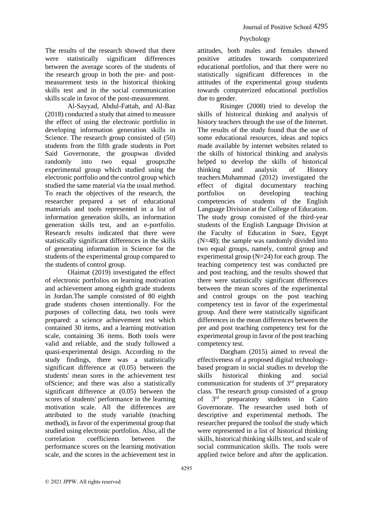The results of the research showed that there were statistically significant differences between the average scores of the students of the research group in both the pre- and postmeasurement tests in the historical thinking skills test and in the social communication skills scale in favor of the post-measurement.

Al-Sayyad, Abdul-Fattah, and Al-Baz (2018) conducted a study that aimed to measure the effect of using the electronic portfolio in developing information generation skills in Science. The research group consisted of (50) students from the fifth grade students in Port Said Governorate, the groupwas divided randomly into two equal groups;the experimental group which studied using the electronic portfolio and the control group which studied the same material via the usual method. To reach the objectives of the research, the researcher prepared a set of educational materials and tools represented in a list of information generation skills, an information generation skills test, and an e-portfolio. Research results indicated that there were statistically significant differences in the skills of generating information in Science for the students of the experimental group compared to the students of control group.

Olaimat (2019) investigated the effect of electronic portfolios on learning motivation and achievement among eighth grade students in Jordan.The sample consisted of 80 eighth grade students chosen intentionally. For the purposes of collecting data, two tools were prepared: a science achievement test which contained 30 items, and a learning motivation scale, containing 36 items. Both tools were valid and reliable, and the study followed a quasi-experimental design. According to the study findings, there was a statistically significant difference at (0.05) between the students' mean sores in the achievement test ofScience; and there was also a statistically significant difference at (0.05) between the scores of students' performance in the learning motivation scale. All the differences are attributed to the study variable (teaching method), in favor of the experimental group that studied using electronic portfolios. Also, all the correlation coefficients between the performance scores on the learning motivation scale, and the scores in the achievement test in

#### Psychology

attitudes, both males and females showed attitudes towards computerized educational portfolios, and that there were no statistically significant differences in the attitudes of the experimental group students towards computerized educational portfolios due to gender.

Risinger (2008) tried to develop the skills of historical thinking and analysis of history teachers through the use of the Internet. The results of the study found that the use of some educational resources, ideas and topics made available by internet websites related to the skills of historical thinking and analysis helped to develop the skills of historical thinking and analysis of History teachers.Muhammad (2012) investigated the effect of digital documentary teaching portfolios on developing teaching competencies of students of the English Language Division at the College of Education. The study group consisted of the third-year students of the English Language Division at the Faculty of Education in Suez, Egypt (N=48); the sample was randomly divided into two equal groups, namely, control group and experimental group  $(N=24)$  for each group. The teaching competency test was conducted pre and post teaching, and the results showed that there were statistically significant differences between the mean scores of the experimental and control groups on the post teaching competency test in favor of the experimental group. And there were statistically significant differences in the mean differences between the pre and post teaching competency test for the experimental group in favor of the post teaching competency test.

Dargham (2015) aimed to reveal the effectiveness of a proposed digital technologybased program in social studies to develop the skills historical thinking and social communication for students of 3rd preparatory class. The research group consisted of a group of 3rd preparatory students in Cairo Governorate. The researcher used both of descriptive and experimental methods. The researcher prepared the toolsof the study which were represented in a list of historical thinking skills, historical thinking skills test, and scale of social communication skills. The tools were applied twice before and after the application.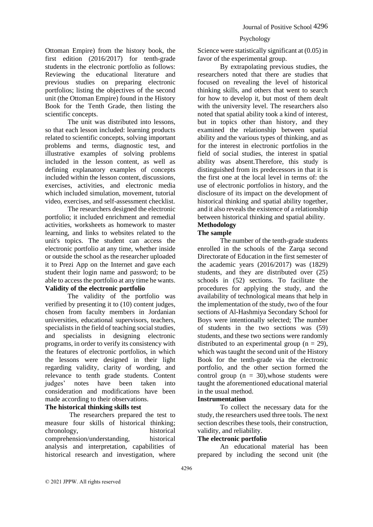# Ottoman Empire) from the history book, the first edition (2016/2017) for tenth-grade students in the electronic portfolio as follows: Reviewing the educational literature and previous studies on preparing electronic portfolios; listing the objectives of the second unit (the Ottoman Empire) found in the History Book for the Tenth Grade, then listing the scientific concepts.

The unit was distributed into lessons, so that each lesson included: learning products related to scientific concepts, solving important problems and terms, diagnostic test, and illustrative examples of solving problems included in the lesson content, as well as defining explanatory examples of concepts included within the lesson content, discussions, exercises, activities, and electronic media which included simulation, movement, tutorial video, exercises, and self-assessment checklist.

The researchers designed the electronic portfolio; it included enrichment and remedial activities, worksheets as homework to master learning, and links to websites related to the unit's topics. The student can access the electronic portfolio at any time, whether inside or outside the school as the researcher uploaded it to Prezi App on the Internet and gave each student their login name and password; to be able to access the portfolio at any time he wants. **Validity of the electronic portfolio**

The validity of the portfolio was verified by presenting it to (10) content judges, chosen from faculty members in Jordanian universities, educational supervisors, teachers, specialists in the field of teaching social studies, and specialists in designing electronic programs, in order to verify its consistency with the features of electronic portfolios, in which the lessons were designed in their light regarding validity, clarity of wording, and relevance to tenth grade students. Content judges' notes have been taken into consideration and modifications have been made according to their observations.

## **The historical thinking skills test**

The researchers prepared the test to measure four skills of historical thinking; chronology, historical comprehension/understanding, historical analysis and interpretation, capabilities of historical research and investigation, where

### Psychology

Science were statistically significant at (0.05) in favor of the experimental group.

By extrapolating previous studies, the researchers noted that there are studies that focused on revealing the level of historical thinking skills, and others that went to search for how to develop it, but most of them dealt with the university level. The researchers also noted that spatial ability took a kind of interest, but in topics other than history, and they examined the relationship between spatial ability and the various types of thinking, and as for the interest in electronic portfolios in the field of social studies, the interest in spatial ability was absent.Therefore, this study is distinguished from its predecessors in that it is the first one at the local level in terms of: the use of electronic portfolios in history, and the disclosure of its impact on the development of historical thinking and spatial ability together, and it also reveals the existence of a relationship between historical thinking and spatial ability.

# **Methodology**

# **The sample**

The number of the tenth-grade students enrolled in the schools of the Zarqa second Directorate of Education in the first semester of the academic years (2016/2017) was (1829) students, and they are distributed over (25) schools in (52) sections. To facilitate the procedures for applying the study, and the availability of technological means that help in the implementation of the study, two of the four sections of Al-Hashmiya Secondary School for Boys were intentionally selected; The number of students in the two sections was (59) students, and these two sections were randomly distributed to an experimental group  $(n = 29)$ , which was taught the second unit of the History Book for the tenth-grade via the electronic portfolio, and the other section formed the control group ( $n = 30$ ), whose students were taught the aforementioned educational material in the usual method.

#### **Instrumentation**

To collect the necessary data for the study, the researchers used three tools. The next section describes these tools, their construction, validity, and reliability.

### **The electronic portfolio**

An educational material has been prepared by including the second unit (the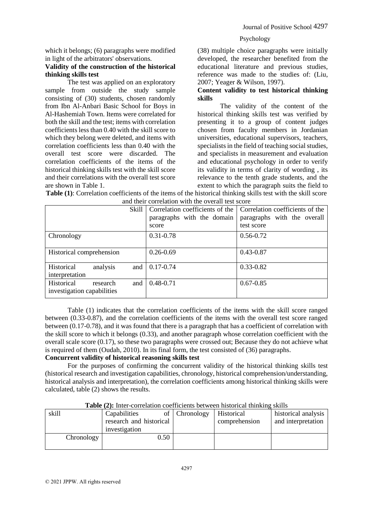which it belongs; (6) paragraphs were modified in light of the arbitrators' observations.

## **Validity of the construction of the historical thinking skills test**

The test was applied on an exploratory sample from outside the study sample consisting of (30) students, chosen randomly from Ibn Al-Anbari Basic School for Boys in Al-Hashemiah Town. Items were correlated for both the skill and the test; items with correlation coefficients less than 0.40 with the skill score to which they belong were deleted, and items with correlation coefficients less than 0.40 with the overall test score were discarded. The correlation coefficients of the items of the historical thinking skills test with the skill score and their correlations with the overall test score are shown in Table 1.

(38) multiple choice paragraphs were initially developed, the researcher benefited from the educational literature and previous studies, reference was made to the studies of: (Liu, 2007; Yeager & Wilson, 1997).

## **Content validity to test historical thinking skills**

The validity of the content of the historical thinking skills test was verified by presenting it to a group of content judges chosen from faculty members in Jordanian universities, educational supervisors, teachers, specialists in the field of teaching social studies, and specialists in measurement and evaluation and educational psychology in order to verify its validity in terms of clarity of wording , its relevance to the tenth grade students, and the extent to which the paragraph suits the field to

| and their correlation with the overall test score |                                 |                                 |  |  |  |  |
|---------------------------------------------------|---------------------------------|---------------------------------|--|--|--|--|
| Skill                                             | Correlation coefficients of the | Correlation coefficients of the |  |  |  |  |
|                                                   | paragraphs with the domain      | paragraphs with the overall     |  |  |  |  |
|                                                   | score                           | test score                      |  |  |  |  |
| Chronology                                        | 0.31-0.78                       | $0.56 - 0.72$                   |  |  |  |  |
|                                                   |                                 |                                 |  |  |  |  |
| Historical comprehension                          | $0.26 - 0.69$                   | 0.43-0.87                       |  |  |  |  |
|                                                   |                                 |                                 |  |  |  |  |
| Historical<br>analysis<br>and                     | $0.17 - 0.74$                   | $0.33 - 0.82$                   |  |  |  |  |
| interpretation                                    |                                 |                                 |  |  |  |  |
| Historical<br>and<br>research                     | $0.48 - 0.71$                   | $0.67 - 0.85$                   |  |  |  |  |
| investigation capabilities                        |                                 |                                 |  |  |  |  |
|                                                   |                                 |                                 |  |  |  |  |

**Table (1)**: Correlation coefficients of the items of the historical thinking skills test with the skill score and their correlation with the overall test score

Table (1) indicates that the correlation coefficients of the items with the skill score ranged between (0.33-0.87), and the correlation coefficients of the items with the overall test score ranged between (0.17-0.78), and it was found that there is a paragraph that has a coefficient of correlation with the skill score to which it belongs (0.33), and another paragraph whose correlation coefficient with the overall scale score (0.17), so these two paragraphs were crossed out; Because they do not achieve what is required of them (Oudah, 2010). In its final form, the test consisted of (36) paragraphs.

# **Concurrent validity of historical reasoning skills test**

For the purposes of confirming the concurrent validity of the historical thinking skills test (historical research and investigation capabilities, chronology, historical comprehension/understanding, historical analysis and interpretation), the correlation coefficients among historical thinking skills were calculated, table (2) shows the results.

| THUR (THE HIGH COLLORIUM) COOLITORIUS SOUMOOII HISROITORI HIIHKIILE SKIILS |                         |               |               |                     |  |  |  |  |
|----------------------------------------------------------------------------|-------------------------|---------------|---------------|---------------------|--|--|--|--|
| skill                                                                      | Capabilities            | of Chronology | Historical    | historical analysis |  |  |  |  |
|                                                                            | research and historical |               | comprehension | and interpretation  |  |  |  |  |
|                                                                            | investigation           |               |               |                     |  |  |  |  |
| Chronology                                                                 | 0.50                    |               |               |                     |  |  |  |  |
|                                                                            |                         |               |               |                     |  |  |  |  |

**Table (2):** Inter-correlation coefficients between historical thinking skills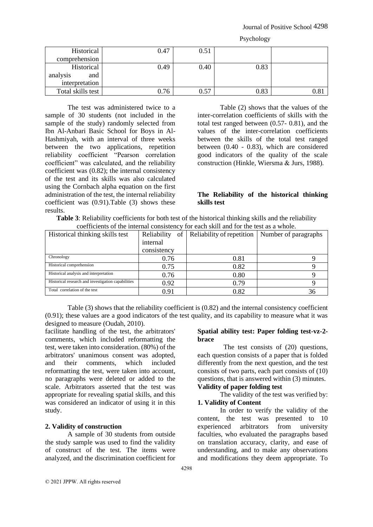| Psychology |  |
|------------|--|
|------------|--|

| Historical<br>comprehension                     | 0.47 | 0.51 |      |               |
|-------------------------------------------------|------|------|------|---------------|
| Historical<br>analysis<br>and<br>interpretation | 0.49 | 0.40 | 0.83 |               |
| Total skills test                               | 0.76 | 0.57 | 0.83 | $0.8^{\circ}$ |

The test was administered twice to a sample of 30 students (not included in the sample of the study) randomly selected from Ibn Al-Anbari Basic School for Boys in Al-Hashmiyah, with an interval of three weeks between the two applications, repetition reliability coefficient "Pearson correlation coefficient" was calculated, and the reliability coefficient was (0.82); the internal consistency of the test and its skills was also calculated using the Cornbach alpha equation on the first administration of the test, the internal reliability coefficient was (0.91).Table (3) shows these results.

Table (2) shows that the values of the inter-correlation coefficients of skills with the total test ranged between (0.57- 0.81), and the values of the inter-correlation coefficients between the skills of the total test ranged between (0.40 - 0.83), which are considered good indicators of the quality of the scale construction (Hinkle, Wiersma & Jurs, 1988).

### **The Reliability of the historical thinking skills test**

| <b>Table 3:</b> Reliability coefficients for both test of the historical thinking skills and the reliability |
|--------------------------------------------------------------------------------------------------------------|
| coefficients of the internal consistency for each skill and for the test as a whole.                         |

|                                                    | COCHTCHING OF the HItchhai Consistency Tor Cach skill and Tor the test as a whole. |                           |                      |  |  |  |  |  |  |
|----------------------------------------------------|------------------------------------------------------------------------------------|---------------------------|----------------------|--|--|--|--|--|--|
| Historical thinking skills test                    | Reliability<br>of                                                                  | Reliability of repetition | Number of paragraphs |  |  |  |  |  |  |
|                                                    | internal                                                                           |                           |                      |  |  |  |  |  |  |
|                                                    | consistency                                                                        |                           |                      |  |  |  |  |  |  |
| Chronology                                         | 0.76                                                                               | 0.81                      |                      |  |  |  |  |  |  |
| Historical comprehension                           | 0.75                                                                               | 0.82                      |                      |  |  |  |  |  |  |
| Historical analysis and interpretation             | 0.76                                                                               | 0.80                      |                      |  |  |  |  |  |  |
| Historical research and investigation capabilities | 0.92                                                                               | 0.79                      |                      |  |  |  |  |  |  |
| Total correlation of the test                      | 0.91                                                                               | 0.82                      | 36                   |  |  |  |  |  |  |

Table (3) shows that the reliability coefficient is (0.82) and the internal consistency coefficient (0.91); these values are a good indicators of the test quality, and its capability to measure what it was designed to measure (Oudah, 2010).

facilitate handling of the test, the arbitrators' comments, which included reformatting the test, were taken into consideration. (80%) of the arbitrators' unanimous consent was adopted, and their comments, which included reformatting the test, were taken into account, no paragraphs were deleted or added to the scale. Arbitrators asserted that the test was appropriate for revealing spatial skills, and this was considered an indicator of using it in this study.

## **2. Validity of construction**

A sample of 30 students from outside the study sample was used to find the validity of construct of the test. The items were analyzed, and the discrimination coefficient for

#### **Spatial ability test: Paper folding test-vz-2 brace**

 The test consists of (20) questions, each question consists of a paper that is folded differently from the next question, and the test consists of two parts, each part consists of (10) questions, that is answered within (3) minutes.

# **Validity of paper folding test**

The validity of the test was verified by: **1. Validity of Content** 

In order to verify the validity of the content, the test was presented to 10 experienced arbitrators from university faculties, who evaluated the paragraphs based on translation accuracy, clarity, and ease of understanding, and to make any observations and modifications they deem appropriate. To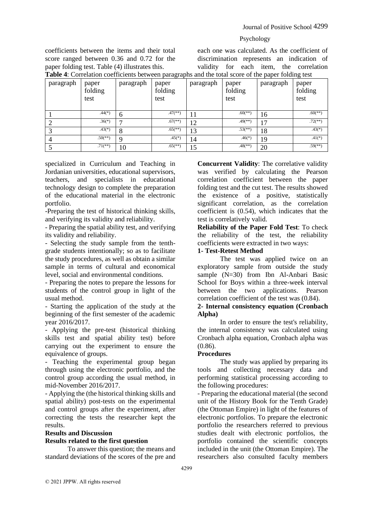coefficients between the items and their total score ranged between 0.36 and 0.72 for the paper folding test. Table (4) illustrates this.

each one was calculated. As the coefficient of discrimination represents an indication of validity for each item, the correlation **Table 4**: Correlation coefficients between paragraphs and the total score of the paper folding test

| paragraph | paper<br>folding<br>test | paragraph | paper<br>folding<br>test | paragraph | paper<br>folding<br>test | <b>Tuble</b> 1. Correlation coefficients between paragraphs and the total score of the paper foraing test<br>paragraph | paper<br>folding<br>test |
|-----------|--------------------------|-----------|--------------------------|-----------|--------------------------|------------------------------------------------------------------------------------------------------------------------|--------------------------|
|           | $.44(*)$                 | 6         | $.47$ <sup>**</sup> )    |           | $.60$ <sup>(**)</sup> )  | 16                                                                                                                     | $.60$ <sup>(**)</sup> )  |
|           | $.36(*)$                 | −         | $.67$ <sup>(**)</sup> )  | 12        | $.49$ <sup>**</sup> )    | 17                                                                                                                     | $.72$ <sup>**</sup> )    |
|           | $.43(*)$                 | 8         | $.65$ <sup>(**)</sup> )  | 13        | $.53$ <sup>(**)</sup> )  | 18                                                                                                                     | $.43(*)$                 |
|           | $.50$ <sup>(**)</sup> )  | Q         | $.45(*)$                 | 14        | $.46(*)$                 | 19                                                                                                                     | $.41(*)$                 |
|           | $.71$ (**)               | 10        | $.65$ <sup>(**)</sup> )  | 15        | $.48$ <sup>(**)</sup> )  | 20                                                                                                                     | $.59$ <sup>(**)</sup> )  |

specialized in Curriculum and Teaching in Jordanian universities, educational supervisors, teachers, and specialists in educational technology design to complete the preparation of the educational material in the electronic portfolio.

-Preparing the test of historical thinking skills, and verifying its validity and reliability.

- Preparing the spatial ability test, and verifying its validity and reliability.

- Selecting the study sample from the tenthgrade students intentionally; so as to facilitate the study procedures, as well as obtain a similar sample in terms of cultural and economical level, social and environmental conditions.

- Preparing the notes to prepare the lessons for students of the control group in light of the usual method.

- Starting the application of the study at the beginning of the first semester of the academic year 2016/2017.

- Applying the pre-test (historical thinking skills test and spatial ability test) before carrying out the experiment to ensure the equivalence of groups.

- Teaching the experimental group began through using the electronic portfolio, and the control group according the usual method, in mid-November 2016/2017.

- Applying the (the historical thinking skills and spatial ability) post-tests on the experimental and control groups after the experiment, after correcting the tests the researcher kept the results.

# **Results and Discussion**

## **Results related to the first question**

To answer this question; the means and standard deviations of the scores of the pre and **Concurrent Validity**: The correlative validity was verified by calculating the Pearson correlation coefficient between the paper folding test and the cut test. The results showed the existence of a positive, statistically significant correlation, as the correlation coefficient is (0.54), which indicates that the test is correlatively valid.

**Reliability of the Paper Fold Test**: To check the reliability of the test, the reliability coefficients were extracted in two ways:

#### **1- Test-Retest Method**

The test was applied twice on an exploratory sample from outside the study sample (N=30) from Ibn Al-Anbari Basic School for Boys within a three-week interval between the two applications. Pearson correlation coefficient of the test was (0.84).

#### **2- Internal consistency equation (Cronbach Alpha)**

In order to ensure the test's reliability, the internal consistency was calculated using Cronbach alpha equation, Cronbach alpha was (0.86).

## **Procedures**

The study was applied by preparing its tools and collecting necessary data and performing statistical processing according to the following procedures:

- Preparing the educational material (the second unit of the History Book for the Tenth Grade) (the Ottoman Empire) in light of the features of electronic portfolios. To prepare the electronic portfolio the researchers referred to previous studies dealt with electronic portfolios, the portfolio contained the scientific concepts included in the unit (the Ottoman Empire). The researchers also consulted faculty members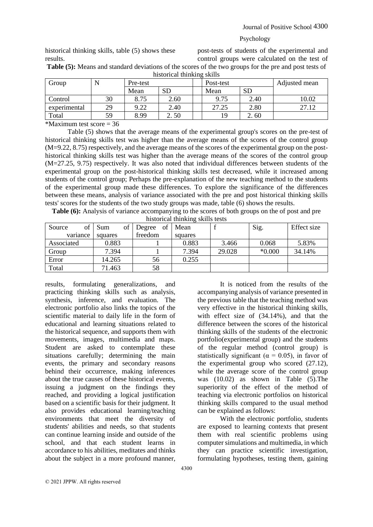historical thinking skills, table (5) shows these results.

post-tests of students of the experimental and control groups were calculated on the test of

It is noticed from the results of the

With the electronic portfolio, students

are exposed to learning contexts that present them with real scientific problems using computer simulations and multimedia, in which they can practice scientific investigation, formulating hypotheses, testing them, gaining

accompanying analysis of variance presented in the previous table that the teaching method was very effective in the historical thinking skills, with effect size of (34.14%), and that the difference between the scores of the historical thinking skills of the students of the electronic portfolio(experimental group) and the students of the regular method (control group) is statistically significant ( $\alpha = 0.05$ ), in favor of the experimental group who scored (27.12), while the average score of the control group was (10.02) as shown in Table (5).The superiority of the effect of the method of teaching via electronic portfolios on historical thinking skills compared to the usual method

can be explained as follows:

**Table (5):** Means and standard deviations of the scores of the two groups for the pre and post tests of historical thinking skills

| Group        |    | Pre-test |      | Post-test |           | Adjusted mean |
|--------------|----|----------|------|-----------|-----------|---------------|
|              |    | Mean     | SD   | Mean      | <b>SD</b> |               |
| Control      | 30 | 8.75     | 2.60 | 9.75      | 2.40      | 10.02         |
| experimental | 29 | 9.22     | 2.40 | 27.25     | 2.80      | 27.12         |
| Total        | 59 | 8.99     | 2.50 | 19        | 2.60      |               |
| .            |    |          |      |           |           |               |

\*Maximum test score  $=$  36

Table (5) shows that the average means of the experimental group's scores on the pre-test of historical thinking skills test was higher than the average means of the scores of the control group (M=9.22, 8.75) respectively, and the average means of the scores of the experimental group on the posthistorical thinking skills test was higher than the average means of the scores of the control group (M=27.25, 9.75) respectively. It was also noted that individual differences between students of the experimental group on the post-historical thinking skills test decreased, while it increased among students of the control group; Perhaps the pre-explanation of the new teaching method to the students of the experimental group made these differences. To explore the significance of the differences between these means, analysis of variance associated with the pre and post historical thinking skills tests' scores for the students of the two study groups was made, table (6) shows the results.

**Table (6):** Analysis of variance accompanying to the scores of both groups on the of post and pre historical thinking skills tests

| of<br>Source | of<br>Sum | of<br>Degree | Mean    |        | Sig.     | Effect size |
|--------------|-----------|--------------|---------|--------|----------|-------------|
| variance     | squares   | freedom      | squares |        |          |             |
| Associated   | 0.883     |              | 0.883   | 3.466  | 0.068    | 5.83%       |
| Group        | 7.394     |              | 7.394   | 29.028 | $*0.000$ | 34.14%      |
| Error        | 14.265    | 56           | 0.255   |        |          |             |
| Total        | 71.463    | 58           |         |        |          |             |

results, formulating generalizations, and practicing thinking skills such as analysis, synthesis, inference, and evaluation. The electronic portfolio also links the topics of the scientific material to daily life in the form of educational and learning situations related to the historical sequence, and supports them with movements, images, multimedia and maps. Student are asked to contemplate these situations carefully; determining the main events, the primary and secondary reasons behind their occurrence, making inferences about the true causes of these historical events, issuing a judgment on the findings they reached, and providing a logical justification based on a scientific basis for their judgment. It also provides educational learning/teaching environments that meet the diversity of students' abilities and needs, so that students can continue learning inside and outside of the school, and that each student learns in accordance to his abilities, meditates and thinks about the subject in a more profound manner,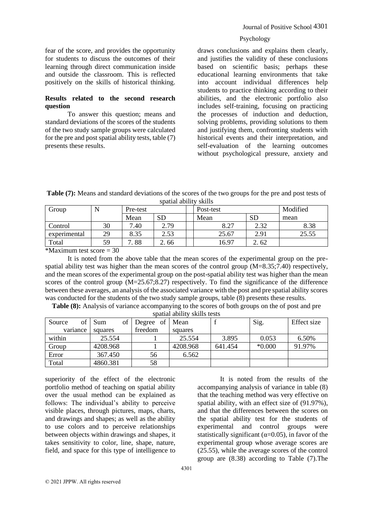fear of the score, and provides the opportunity for students to discuss the outcomes of their learning through direct communication inside and outside the classroom. This is reflected positively on the skills of historical thinking.

### **Results related to the second research question**

To answer this question; means and standard deviations of the scores of the students of the two study sample groups were calculated for the pre and post spatial ability tests, table (7) presents these results.

draws conclusions and explains them clearly, and justifies the validity of these conclusions based on scientific basis; perhaps these educational learning environments that take into account individual differences help students to practice thinking according to their abilities, and the electronic portfolio also includes self-training, focusing on practicing the processes of induction and deduction, solving problems, providing solutions to them and justifying them, confronting students with historical events and their interpretation, and self-evaluation of the learning outcomes without psychological pressure, anxiety and

**Table (7):** Means and standard deviations of the scores of the two groups for the pre and post tests of spatial ability skills

| Group        |      | Pre-test |           | Post-test | Modified |       |
|--------------|------|----------|-----------|-----------|----------|-------|
|              |      | Mean     | <b>SD</b> | Mean      | SD       | mean  |
| Control      | 30   | '.40     | 2.79      | 8.27      | 2.32     | 8.38  |
| experimental | 29   | 8.35     | 2.53      | 25.67     | 2.91     | 25.55 |
| Total        | 59   | .88<br>− | 2.66      | 16.97     | 2. 62    |       |
| .            | $ -$ |          |           |           |          |       |

 $*$ Maximum test score = 30

It is noted from the above table that the mean scores of the experimental group on the prespatial ability test was higher than the mean scores of the control group  $(M=8.35;7.40)$  respectively, and the mean scores of the experimental group on the post-spatial ability test was higher than the mean scores of the control group (M=25.67;8.27) respectively. To find the significance of the difference between these averages, an analysis of the associated variance with the post and pre spatial ability scores was conducted for the students of the two study sample groups, table (8) presents these results.

**Table (8):** Analysis of variance accompanying to the scores of both groups on the of post and pre spatial ability skills tests

|              | spatial ability skills tests |           |          |         |          |             |  |  |  |
|--------------|------------------------------|-----------|----------|---------|----------|-------------|--|--|--|
| Source<br>of | of<br>Sum                    | Degree of | Mean     |         | Sig.     | Effect size |  |  |  |
| variance     | squares                      | freedom   | squares  |         |          |             |  |  |  |
| within       | 25.554                       |           | 25.554   | 3.895   | 0.053    | 6.50%       |  |  |  |
| Group        | 4208.968                     |           | 4208.968 | 641.454 | $*0.000$ | 91.97%      |  |  |  |
| Error        | 367.450                      | 56        | 6.562    |         |          |             |  |  |  |
| Total        | 4860.381                     | 58        |          |         |          |             |  |  |  |

superiority of the effect of the electronic portfolio method of teaching on spatial ability over the usual method can be explained as follows: The individual's ability to perceive visible places, through pictures, maps, charts, and drawings and shapes; as well as the ability to use colors and to perceive relationships between objects within drawings and shapes, it takes sensitivity to color, line, shape, nature, field, and space for this type of intelligence to

It is noted from the results of the accompanying analysis of variance in table (8) that the teaching method was very effective on spatial ability, with an effect size of (91.97%), and that the differences between the scores on the spatial ability test for the students of experimental and control groups were statistically significant ( $\alpha$ =0.05), in favor of the experimental group whose average scores are (25.55), while the average scores of the control group are (8.38) according to Table (7).The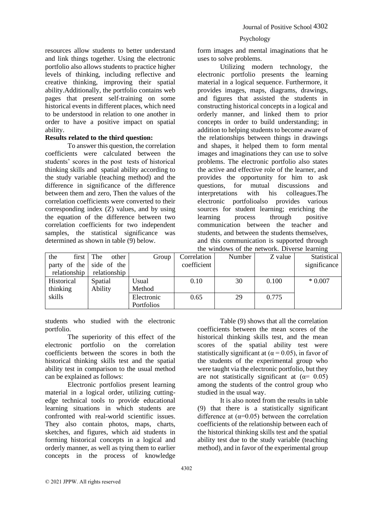form images and mental imaginations that he uses to solve problems.

Utilizing modern technology, the electronic portfolio presents the learning material in a logical sequence. Furthermore, it provides images, maps, diagrams, drawings, and figures that assisted the students in constructing historical concepts in a logical and orderly manner, and linked them to prior concepts in order to build understanding; in addition to helping students to become aware of the relationships between things in drawings and shapes, it helped them to form mental images and imaginations they can use to solve problems. The electronic portfolio also states the active and effective role of the learner, and provides the opportunity for him to ask questions, for mutual discussions and interpretations with his colleagues.The electronic portfolioalso provides various sources for student learning; enriching the learning process through positive communication between the teacher and students, and between the students themselves, and this communication is supported through the windows of the network. Diverse learning

the first party of the relationship The other side of the relationship Group Correlation coefficient Number Z value Statistical significance Historical thinking skills Spatial Ability Usual Method  $0.10$  30 0.100 \* 0.007 Electronic Portfolios 0.65 29 0.775

students who studied with the electronic portfolio.

resources allow students to better understand and link things together. Using the electronic portfolio also allows students to practice higher levels of thinking, including reflective and creative thinking, improving their spatial ability.Additionally, the portfolio contains web pages that present self-training on some historical events in different places, which need to be understood in relation to one another in order to have a positive impact on spatial

**Results related to the third question:** 

determined as shown in table (9) below.

To answer this question, the correlation

coefficients were calculated between the students' scores in the post tests of historical thinking skills and spatial ability according to the study variable (teaching method) and the difference in significance of the difference between them and zero, Then the values of the correlation coefficients were converted to their corresponding index (Z) values, and by using the equation of the difference between two correlation coefficients for two independent samples, the statistical significance was

ability.

The superiority of this effect of the electronic portfolio on the correlation coefficients between the scores in both the historical thinking skills test and the spatial ability test in comparison to the usual method can be explained as follows:

Electronic portfolios present learning material in a logical order, utilizing cuttingedge technical tools to provide educational learning situations in which students are confronted with real-world scientific issues. They also contain photos, maps, charts, sketches, and figures, which aid students in forming historical concepts in a logical and orderly manner, as well as tying them to earlier concepts in the process of knowledge

Table (9) shows that all the correlation coefficients between the mean scores of the historical thinking skills test, and the mean scores of the spatial ability test were statistically significant at ( $\alpha$  = 0.05), in favor of the students of the experimental group who were taught via the electronic portfolio, but they are not statistically significant at  $(\alpha = 0.05)$ among the students of the control group who studied in the usual way.

It is also noted from the results in table (9) that there is a statistically significant difference at  $(\alpha=0.05)$  between the correlation coefficients of the relationship between each of the historical thinking skills test and the spatial ability test due to the study variable (teaching method), and in favor of the experimental group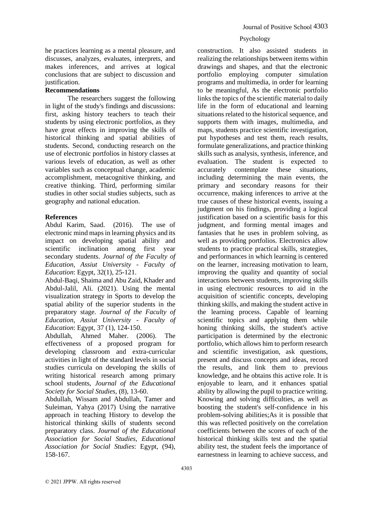he practices learning as a mental pleasure, and discusses, analyzes, evaluates, interprets, and makes inferences, and arrives at logical conclusions that are subject to discussion and justification.

#### **Recommendations**

The researchers suggest the following in light of the study's findings and discussions: first, asking history teachers to teach their students by using electronic portfolios, as they have great effects in improving the skills of historical thinking and spatial abilities of students. Second, conducting research on the use of electronic portfolios in history classes at various levels of education, as well as other variables such as conceptual change, academic accomplishment, metacognitive thinking, and creative thinking. Third, performing similar studies in other social studies subjects, such as geography and national education.

#### **References**

Abdul Karim, Saad. (2016). The use of electronic mind maps in learning physics and its impact on developing spatial ability and scientific inclination among first year secondary students. *Journal of the Faculty of Education, Assiut University - Faculty of Education*: Egypt, 32(1), 25-121.

Abdul-Baqi, Shaima and Abu Zaid, Khader and Abdul-Jalil, Ali. (2021). Using the mental visualization strategy in Sports to develop the spatial ability of the superior students in the preparatory stage. *Journal of the Faculty of Education, Assiut University - Faculty of Education*: Egypt, 37 (1), 124-150.

Abdullah, Ahmed Maher. (2006). The effectiveness of a proposed program for developing classroom and extra-curricular activities in light of the standard levels in social studies curricula on developing the skills of writing historical research among primary school students, *Journal of the Educational Society for Social Studies*, (8), 13-60.

Abdullah, Wissam and Abdullah, Tamer and Suleiman, Yahya (2017) Using the narrative approach in teaching History to develop the historical thinking skills of students second preparatory class. *Journal of the Educational Association for Social Studies, Educational Association for Social Studies*: Egypt, (94), 158-167.

### Psychology

construction. It also assisted students in realizing the relationships between items within drawings and shapes, and that the electronic portfolio employing computer simulation programs and multimedia, in order for learning to be meaningful, As the electronic portfolio links the topics of the scientific material to daily life in the form of educational and learning situations related to the historical sequence, and supports them with images, multimedia, and maps, students practice scientific investigation, put hypotheses and test them, reach results, formulate generalizations, and practice thinking skills such as analysis, synthesis, inference, and evaluation. The student is expected to accurately contemplate these situations, including determining the main events, the primary and secondary reasons for their occurrence, making inferences to arrive at the true causes of these historical events, issuing a judgment on his findings, providing a logical justification based on a scientific basis for this judgment, and forming mental images and fantasies that he uses in problem solving, as well as providing portfolios. Electronics allow students to practice practical skills, strategies, and performances in which learning is centered on the learner, increasing motivation to learn, improving the quality and quantity of social interactions between students, improving skills in using electronic resources to aid in the acquisition of scientific concepts, developing thinking skills, and making the student active in the learning process. Capable of learning scientific topics and applying them while honing thinking skills, the student's active participation is determined by the electronic portfolio, which allows him to perform research and scientific investigation, ask questions, present and discuss concepts and ideas, record the results, and link them to previous knowledge, and he obtains this active role. It is enjoyable to learn, and it enhances spatial ability by allowing the pupil to practice writing. Knowing and solving difficulties, as well as boosting the student's self-confidence in his problem-solving abilities;As it is possible that this was reflected positively on the correlation coefficients between the scores of each of the historical thinking skills test and the spatial ability test, the student feels the importance of earnestness in learning to achieve success, and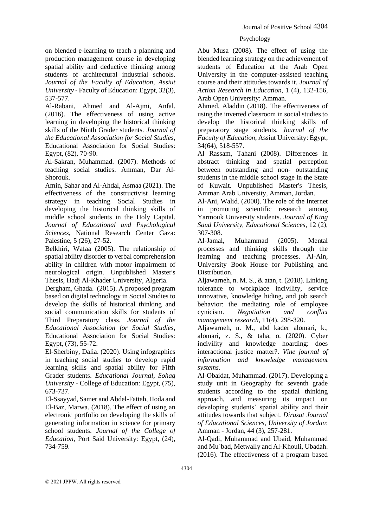on blended e-learning to teach a planning and production management course in developing spatial ability and deductive thinking among students of architectural industrial schools. *Journal of the Faculty of Education, Assiut University* - Faculty of Education: Egypt, 32(3), 537-577.

Al-Rabani, Ahmed and Al-Ajmi, Anfal. (2016). The effectiveness of using active learning in developing the historical thinking skills of the Ninth Grader students. *Journal of the Educational Association for Social Studies*, Educational Association for Social Studies: Egypt, (82), 70-90.

Al-Sakran, Muhammad. (2007). Methods of teaching social studies. Amman, Dar Al-Shorouk.

Amin, Sahar and Al-Ahdal, Asmaa (2021). The effectiveness of the constructivist learning strategy in teaching Social Studies in developing the historical thinking skills of middle school students in the Holy Capital. *Journal of Educational and Psychological Sciences*, National Research Center Gaza: Palestine, 5 (26), 27-52.

Belkhiri, Wafaa (2005). The relationship of spatial ability disorder to verbal comprehension ability in children with motor impairment of neurological origin. Unpublished Master's Thesis, Hadj Al-Khader University, Algeria.

Dergham, Ghada. (2015). A proposed program based on digital technology in Social Studies to develop the skills of historical thinking and social communication skills for students of Third Preparatory class. *Journal of the Educational Association for Social Studies*, Educational Association for Social Studies: Egypt, (73), 55-72.

El-Sherbiny, Dalia. (2020). Using infographics in teaching social studies to develop rapid learning skills and spatial ability for Fifth Grader students. *Educational Journal, Sohag University* - College of Education: Egypt, (75), 673-737.

El-Ssayyad, Samer and Abdel-Fattah, Hoda and El-Baz, Marwa. (2018). The effect of using an electronic portfolio on developing the skills of generating information in science for primary school students. *Journal of the College of Education*, Port Said University: Egypt, (24), 734-759.

Abu Musa (2008). The effect of using the blended learning strategy on the achievement of students of Education at the Arab Open University in the computer-assisted teaching course and their attitudes towards it. *Journal of Action Research in Education*, 1 (4), 132-156, Arab Open University: Amman.

Ahmed, Aladdin (2018). The effectiveness of using the inverted classroom in social studies to develop the historical thinking skills of preparatory stage students. *Journal of the Faculty of Education*, Assiut University: Egypt, 34(64), 518-557.

Al Rassam, Tahani (2008). Differences in abstract thinking and spatial perception between outstanding and non- outstanding students in the middle school stage in the State of Kuwait. Unpublished Master's Thesis, Amman Arab University, Amman, Jordan.

Al-Ani, Walid. (2000). The role of the Internet in promoting scientific research among Yarmouk University students. *Journal of King Saud University, Educational Sciences*, 12 (2), 307-308.

Al-Jamal, Muhammad (2005). Mental processes and thinking skills through the learning and teaching processes. Al-Ain, University Book House for Publishing and Distribution.

Aljawarneh, n. M. S., & atan, t. (2018). Linking tolerance to workplace incivility, service innovative, knowledge hiding, and job search behavior: the mediating role of employee cynicism. *Negotiation and conflict management research*, 11(4), 298-320.

Aljawarneh, n. M., abd kader alomari, k., alomari, z. S., & taha, o. (2020). Cyber incivility and knowledge hoarding: does interactional justice matter?. *Vine journal of information and knowledge management systems.*

Al-Obaidat, Muhammad. (2017). Developing a study unit in Geography for seventh grade students according to the spatial thinking approach, and measuring its impact on developing students' spatial ability and their attitudes towards that subject. *Dirasat Journal of Educational Sciences, University of Jordan*: Amman - Jordan, 44 (3), 257-281.

Al-Qadi, Muhammad and Ubaid, Muhammad and Mu`bad, Metwally and Al-Khouli, Ubadah. (2016). The effectiveness of a program based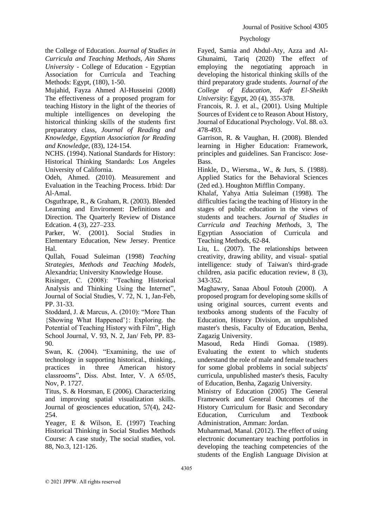# the College of Education. *Journal of Studies in Curricula and Teaching Methods, Ain Shams University* - College of Education - Egyptian Association for Curricula and Teaching Methods: Egypt, (180), 1-50.

Mujahid, Fayza Ahmed Al-Husseini (2008) The effectiveness of a proposed program for teaching History in the light of the theories of multiple intelligences on developing the historical thinking skills of the students first preparatory class, *Journal of Reading and Knowledge, Egyptian Association for Reading and Knowledge*, (83), 124-154.

NCHS. (1994). National Standards for History: Historical Thinking Standards: Los Angeles University of California.

Odeh, Ahmed. (2010). Measurement and Evaluation in the Teaching Process. Irbid: Dar Al-Amal.

Osguthrape, R., & Graham, R. (2003). Blended Learning and Enviroment: Definitions and Direction. The Quarterly Review of Distance Edcation. 4 (3), 227–233.

Parker, W. (2001). Social Studies in Elementary Education, New Jersey. Prentice Hal.

Qullah, Fouad Suleiman (1998) *Teaching Strategies, Methods and Teaching Models*, Alexandria; University Knowledge House.

Risinger, C. (2008): "Teaching Historical Analysis and Thinking Using the Internet", Journal of Social Studies, V. 72, N. 1, Jan-Feb, PP. 31-33.

Stoddard, J. & Marcus, A. (2010): "More Than {Showing What Happened'}: Exploring. the Potential of Teaching History with Film", High School Journal, V. 93, N. 2, Jan/ Feb, PP. 83- 90.

Swan, K. (2004). "Examining, the use of technology in supporting historical., thinking., practices in three American history classrooms", Diss. Abst. Inter, V. A 65/05, Nov, P. 1727.

Titus, S. & Horsman, E (2006). Characterizing and improving spatial visualization skills. Journal of geosciences education, 57(4), 242- 254.

Yeager, E & Wilson, E. (1997) Teaching Historical Thinking in Social Studies Methods Course: A case study, The social studies, vol. 88, No.3, 121-126.

Fayed, Samia and Abdul-Aty, Azza and Al-Ghunaimi, Tariq (2020) The effect of employing the negotiating approach in developing the historical thinking skills of the third preparatory grade students. *Journal of the College of Education, Kafr El-Sheikh University*: Egypt, 20 (4), 355-378.

Francois, R. J. et al., (2001). Using Multiple Sources of Evident ce to Reason About History, Journal of Educational Psychology. Vol. 88. o3. 478-493.

Garrison, R. & Vaughan, H. (2008). Blended learning in Higher Education: Framework, principles and guidelines. San Francisco: Jose-Bass.

Hinkle, D., Wiersma., W., & Jurs, S. (1988). Applied Statics for the Behavioral Sciences (2ed ed.). Houghton Mifflin Company.

Khalaf, Yahya Attia Suleiman (1998). The difficulties facing the teaching of History in the stages of public education in the views of students and teachers. *Journal of Studies in Curricula and Teaching Methods*, 3, The Egyptian Association of Curricula and Teaching Methods, 62-84.

Liu, L. (2007). The relationships between creativity, drawing ability, and visual- spatial intelligence: study of Taiwan's third-grade children, asia pacific education review, 8 (3), 343-352.

Maghawry, Sanaa Aboul Fotouh (2000). A proposed program for developing some skills of using original sources, current events and textbooks among students of the Faculty of Education, History Division, an unpublished master's thesis, Faculty of Education, Benha, Zagazig University.

Masoud, Reda Hindi Gomaa. (1989). Evaluating the extent to which students understand the role of male and female teachers for some global problems in social subjects' curricula, unpublished master's thesis, Faculty of Education, Benha, Zagazig University.

Ministry of Education (2005) The General Framework and General Outcomes of the History Curriculum for Basic and Secondary Education, Curriculum and Textbook Administration, Amman: Jordan.

Muhammad, Manal. (2012). The effect of using electronic documentary teaching portfolios in developing the teaching competencies of the students of the English Language Division at